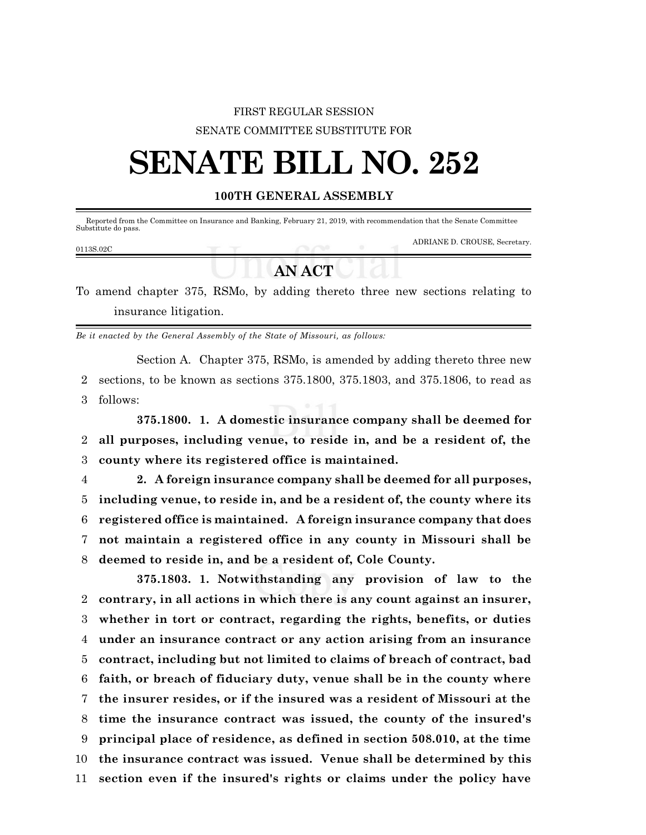## FIRST REGULAR SESSION SENATE COMMITTEE SUBSTITUTE FOR

# **SENATE BILL NO. 252**

### **100TH GENERAL ASSEMBLY**

Reported from the Committee on Insurance and Banking, February 21, 2019, with recommendation that the Senate Committee Substitute do pass.

#### 0113S.02C

ADRIANE D. CROUSE, Secretary.

## **AN ACT**

To amend chapter 375, RSMo, by adding thereto three new sections relating to insurance litigation.

*Be it enacted by the General Assembly of the State of Missouri, as follows:*

Section A. Chapter 375, RSMo, is amended by adding thereto three new 2 sections, to be known as sections 375.1800, 375.1803, and 375.1806, to read as 3 follows:

**375.1800. 1. A domestic insurance company shall be deemed for** 2 **all purposes, including venue, to reside in, and be a resident of, the** 3 **county where its registered office is maintained.**

 **2. A foreign insurance company shall be deemed for all purposes, including venue, to reside in, and be a resident of, the county where its registered office is maintained. A foreign insurance company that does not maintain a registered office in any county in Missouri shall be deemed to reside in, and be a resident of, Cole County.**

**375.1803. 1. Notwithstanding any provision of law to the contrary, in all actions in which there is any count against an insurer, whether in tort or contract, regarding the rights, benefits, or duties under an insurance contract or any action arising from an insurance contract, including but not limited to claims of breach of contract, bad faith, or breach of fiduciary duty, venue shall be in the county where the insurer resides, or if the insured was a resident of Missouri at the time the insurance contract was issued, the county of the insured's principal place of residence, as defined in section 508.010, at the time the insurance contract was issued. Venue shall be determined by this section even if the insured's rights or claims under the policy have**